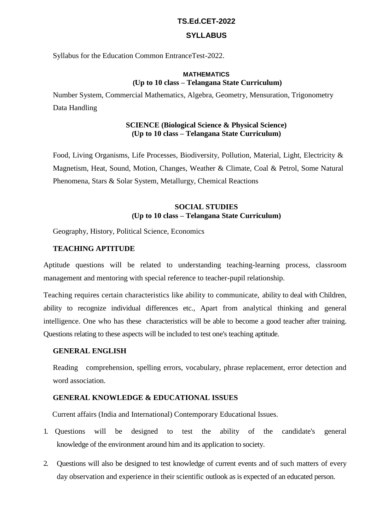#### **TS.Ed.CET-2022**

## **SYLLABUS**

Syllabus for the Education Common EntranceTest-2022.

### **MATHEMATICS (Up to 10 class – Telangana State Curriculum)**

Number System, Commercial Mathematics, Algebra, Geometry, Mensuration, Trigonometry Data Handling

## **SCIENCE (Biological Science & Physical Science) (Up to 10 class – Telangana State Curriculum)**

Food, Living Organisms, Life Processes, Biodiversity, Pollution, Material, Light, Electricity & Magnetism, Heat, Sound, Motion, Changes, Weather & Climate, Coal & Petrol, Some Natural Phenomena, Stars & Solar System, Metallurgy, Chemical Reactions

# **SOCIAL STUDIES (Up to 10 class – Telangana State Curriculum)**

Geography, History, Political Science, Economics

## **TEACHING APTITUDE**

Aptitude questions will be related to understanding teaching-learning process, classroom management and mentoring with special reference to teacher-pupil relationship.

Teaching requires certain characteristics like ability to communicate, ability to deal with Children, ability to recognize individual differences etc., Apart from analytical thinking and general intelligence. One who has these characteristics will be able to become a good teacher after training. Questions relating to these aspects will be included to test one's teaching aptitude.

### **GENERAL ENGLISH**

Reading comprehension, spelling errors, vocabulary, phrase replacement, error detection and word association.

## **GENERAL KNOWLEDGE & EDUCATIONAL ISSUES**

Current affairs (India and International) Contemporary Educational Issues.

- 1. Questions will be designed to test the ability of the candidate's general knowledge of the environment around him and its application to society.
- 2. Questions will also be designed to test knowledge of current events and of such matters of every day observation and experience in their scientific outlook as is expected of an educated person.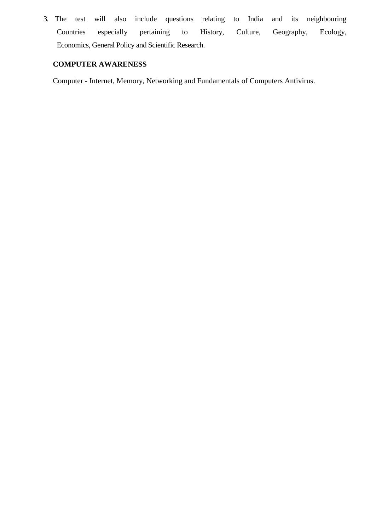3. The test will also include questions relating to India and its neighbouring Countries especially pertaining to History, Culture, Geography, Ecology, Economics, General Policy and Scientific Research.

# **COMPUTER AWARENESS**

Computer - Internet, Memory, Networking and Fundamentals of Computers Antivirus.